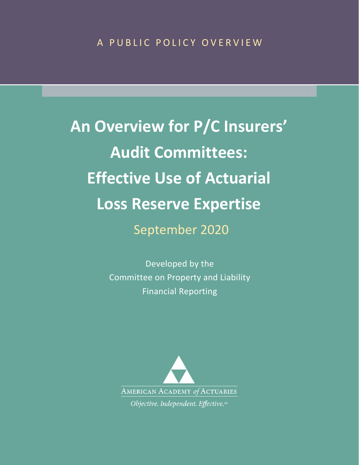**An Overview for P/C Insurers' Audit Committees: Effective Use of Actuarial Loss Reserve Expertise** September 2020

> Developed by the Committee on Property and Liability Financial Reporting

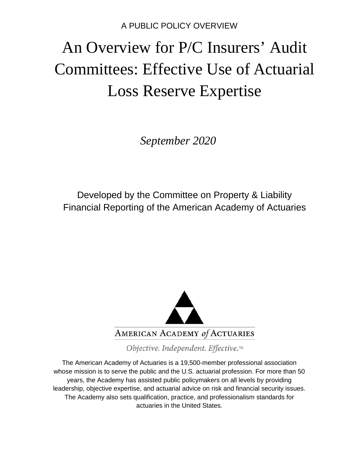# An Overview for P/C Insurers' Audit Committees: Effective Use of Actuarial Loss Reserve Expertise

*September 2020*

Developed by the Committee on Property & Liability Financial Reporting of the American Academy of Actuaries



Objective. Independent. Effective.™

The American Academy of Actuaries is a 19,500-member professional association whose mission is to serve the public and the U.S. actuarial profession. For more than 50 years, the Academy has assisted public policymakers on all levels by providing leadership, objective expertise, and actuarial advice on risk and financial security issues. The Academy also sets qualification, practice, and professionalism standards for actuaries in the United States.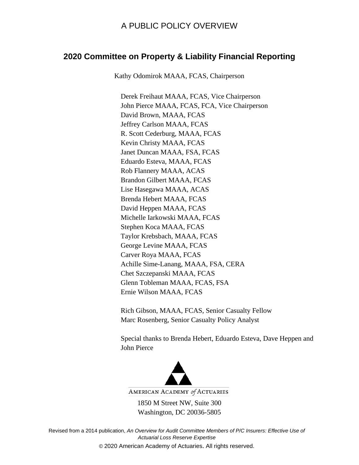#### **2020 Committee on Property & Liability Financial Reporting**

Kathy Odomirok MAAA, FCAS, Chairperson

Derek Freihaut MAAA, FCAS, Vice Chairperson John Pierce MAAA, FCAS, FCA, Vice Chairperson David Brown, MAAA, FCAS Jeffrey Carlson MAAA, FCAS R. Scott Cederburg, MAAA, FCAS Kevin Christy MAAA, FCAS Janet Duncan MAAA, FSA, FCAS Eduardo Esteva, MAAA, FCAS Rob Flannery MAAA, ACAS Brandon Gilbert MAAA, FCAS Lise Hasegawa MAAA, ACAS Brenda Hebert MAAA, FCAS David Heppen MAAA, FCAS Michelle Iarkowski MAAA, FCAS Stephen Koca MAAA, FCAS Taylor Krebsbach, MAAA, FCAS George Levine MAAA, FCAS Carver Roya MAAA, FCAS Achille Sime-Lanang, MAAA, FSA, CERA Chet Szczepanski MAAA, FCAS Glenn Tobleman MAAA, FCAS, FSA Ernie Wilson MAAA, FCAS

Rich Gibson, MAAA, FCAS, Senior Casualty Fellow Marc Rosenberg, Senior Casualty Policy Analyst

Special thanks to Brenda Hebert, Eduardo Esteva, Dave Heppen and John Pierce



AMERICAN ACADEMY of ACTUARIES

1850 M Street NW, Suite 300 Washington, DC 20036-5805

Revised from a 2014 publication, *An Overview for Audit Committee Members of P/C Insurers: Effective Use of Actuarial Loss Reserve Expertise* © 2020 American Academy of Actuaries. All rights reserved.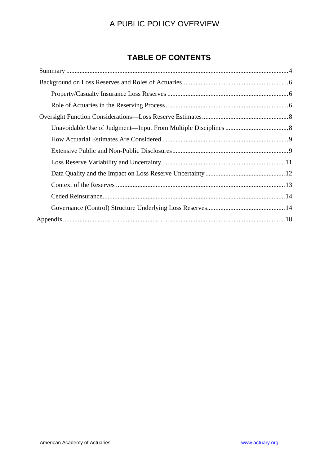## **TABLE OF CONTENTS**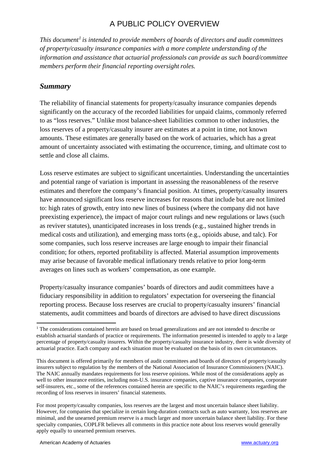*This document[1](#page-4-1) is intended to provide members of boards of directors and audit committees of property/casualty insurance companies with a more complete understanding of the information and assistance that actuarial professionals can provide as such board/committee members perform their financial reporting oversight roles.*

## <span id="page-4-0"></span>*Summary*

The reliability of financial statements for property/casualty insurance companies depends significantly on the accuracy of the recorded liabilities for unpaid claims, commonly referred to as "loss reserves." Unlike most balance-sheet liabilities common to other industries, the loss reserves of a property/casualty insurer are estimates at a point in time, not known amounts. These estimates are generally based on the work of actuaries, which has a great amount of uncertainty associated with estimating the occurrence, timing, and ultimate cost to settle and close all claims.

Loss reserve estimates are subject to significant uncertainties. Understanding the uncertainties and potential range of variation is important in assessing the reasonableness of the reserve estimates and therefore the company's financial position. At times, property/casualty insurers have announced significant loss reserve increases for reasons that include but are not limited to: high rates of growth, entry into new lines of business (where the company did not have preexisting experience), the impact of major court rulings and new regulations or laws (such as reviver statutes), unanticipated increases in loss trends (e.g., sustained higher trends in medical costs and utilization), and emerging mass torts (e.g., opioids abuse, and talc). For some companies, such loss reserve increases are large enough to impair their financial condition; for others, reported profitability is affected. Material assumption improvements may arise because of favorable medical inflationary trends relative to prior long-term averages on lines such as workers' compensation, as one example.

Property/casualty insurance companies' boards of directors and audit committees have a fiduciary responsibility in addition to regulators' expectation for overseeing the financial reporting process. Because loss reserves are crucial to property/casualty insurers' financial statements, audit committees and boards of directors are advised to have direct discussions

<span id="page-4-1"></span><sup>&</sup>lt;sup>1</sup> The considerations contained herein are based on broad generalizations and are not intended to describe or establish actuarial standards of practice or requirements. The information presented is intended to apply to a large percentage of property/casualty insurers. Within the property/casualty insurance industry, there is wide diversity of actuarial practice. Each company and each situation must be evaluated on the basis of its own circumstances.

This document is offered primarily for members of audit committees and boards of directors of property/casualty insurers subject to regulation by the members of the National Association of Insurance Commissioners (NAIC). The NAIC annually mandates requirements for loss reserve opinions. While most of the considerations apply as well to other insurance entities, including non-U.S. insurance companies, captive insurance companies, corporate self-insurers, etc., some of the references contained herein are specific to the NAIC's requirements regarding the recording of loss reserves in insurers' financial statements.

For most property/casualty companies, loss reserves are the largest and most uncertain balance sheet liability. However, for companies that specialize in certain long-duration contracts such as auto warranty, loss reserves are minimal, and the unearned premium reserve is a much larger and more uncertain balance sheet liability. For these specialty companies, COPLFR believes all comments in this practice note about loss reserves would generally apply equally to unearned premium reserves.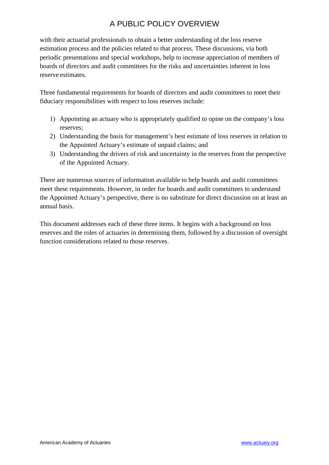with their actuarial professionals to obtain a better understanding of the loss reserve estimation process and the policies related to that process. These discussions, via both periodic presentations and special workshops, help to increase appreciation of members of boards of directors and audit committees for the risks and uncertainties inherent in loss reserve estimates.

Three fundamental requirements for boards of directors and audit committees to meet their fiduciary responsibilities with respect to loss reserves include:

- 1) Appointing an actuary who is appropriately qualified to opine on the company's loss reserves;
- 2) Understanding the basis for management's best estimate of loss reserves in relation to the Appointed Actuary's estimate of unpaid claims; and
- 3) Understanding the drivers of risk and uncertainty in the reserves from the perspective of the Appointed Actuary.

There are numerous sources of information available to help boards and audit committees meet these requirements. However, in order for boards and audit committees to understand the Appointed Actuary's perspective, there is no substitute for direct discussion on at least an annual basis.

This document addresses each of these three items. It begins with a background on loss reserves and the roles of actuaries in determining them, followed by a discussion of oversight function considerations related to those reserves.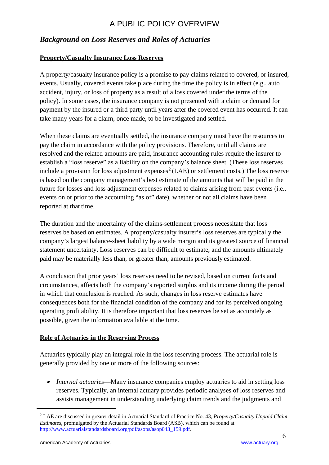## <span id="page-6-0"></span>*Background on Loss Reserves and Roles of Actuaries*

#### <span id="page-6-1"></span>**Property/Casualty Insurance Loss Reserves**

A property/casualty insurance policy is a promise to pay claims related to covered, or insured, events. Usually, covered events take place during the time the policy is in effect (e.g., auto accident, injury, or loss of property as a result of a loss covered under the terms of the policy). In some cases, the insurance company is not presented with a claim or demand for payment by the insured or a third party until years after the covered event has occurred. It can take many years for a claim, once made, to be investigated and settled.

When these claims are eventually settled, the insurance company must have the resources to pay the claim in accordance with the policy provisions. Therefore, until all claims are resolved and the related amounts are paid, insurance accounting rules require the insurer to establish a "loss reserve" as a liability on the company's balance sheet. (These loss reserves include a provision for loss adjustment expenses<sup>[2](#page-6-3)</sup> (LAE) or settlement costs.) The loss reserve is based on the company management's best estimate of the amounts that will be paid in the future for losses and loss adjustment expenses related to claims arising from past events (i.e., events on or prior to the accounting "as of" date), whether or not all claims have been reported at that time.

The duration and the uncertainty of the claims-settlement process necessitate that loss reserves be based on estimates. A property/casualty insurer's loss reserves are typically the company's largest balance-sheet liability by a wide margin and its greatest source of financial statement uncertainty. Loss reserves can be difficult to estimate, and the amounts ultimately paid may be materially less than, or greater than, amounts previously estimated.

A conclusion that prior years' loss reserves need to be revised, based on current facts and circumstances, affects both the company's reported surplus and its income during the period in which that conclusion is reached. As such, changes in loss reserve estimates have consequences both for the financial condition of the company and for its perceived ongoing operating profitability. It is therefore important that loss reserves be set as accurately as possible, given the information available at the time.

#### <span id="page-6-2"></span>**Role of Actuaries in the Reserving Process**

Actuaries typically play an integral role in the loss reserving process. The actuarial role is generally provided by one or more of the following sources:

• *Internal actuaries*—Many insurance companies employ actuaries to aid in setting loss reserves. Typically, an internal actuary provides periodic analyses of loss reserves and assists management in understanding underlying claim trends and the judgments and

<span id="page-6-3"></span><sup>2</sup> LAE are discussed in greater detail in Actuarial Standard of Practice No. 43, *Property/Casualty Unpaid Claim Estimates*, promulgated by the Actuarial Standards Board (ASB), which can be found at [http://www.actuarialstandardsboard.org/pdf/asops/asop043\\_159.pdf.](http://www.actuarialstandardsboard.org/pdf/asops/asop043_159.pdf)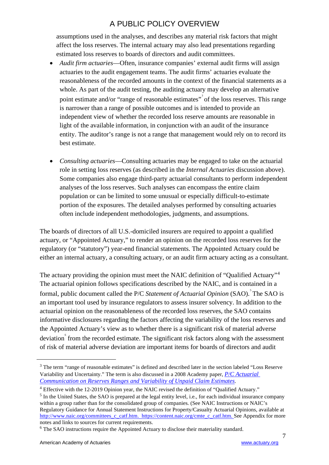assumptions used in the analyses, and describes any material risk factors that might affect the loss reserves. The internal actuary may also lead presentations regarding estimated loss reserves to boards of directors and audit committees.

- *Audit firm actuaries*—Often, insurance companies' external audit firms will assign actuaries to the audit engagement teams. The audit firms' actuaries evaluate the reasonableness of the recorded amounts in the context of the financial statements as a whole. As part of the audit testing, the auditing actuary may develop an alternative point estimate and/or "range of reasonable estimates" of the loss reserves. This range is narrower than a range of possible outcomes and is intended to provide an independent view of whether the recorded loss reserve amounts are reasonable in light of the available information, in conjunction with an audit of the insurance entity. The auditor's range is not a range that management would rely on to record its best estimate.
- *Consulting actuaries*—Consulting actuaries may be engaged to take on the actuarial role in setting loss reserves (as described in the *Internal Actuaries* discussion above). Some companies also engage third-party actuarial consultants to perform independent analyses of the loss reserves. Such analyses can encompass the entire claim population or can be limited to some unusual or especially difficult-to-estimate portion of the exposures. The detailed analyses performed by consulting actuaries often include independent methodologies, judgments, and assumptions.

The boards of directors of all U.S.-domiciled insurers are required to appoint a qualified actuary, or "Appointed Actuary," to render an opinion on the recorded loss reserves for the regulatory (or "statutory") year-end financial statements. The Appointed Actuary could be either an internal actuary, a consulting actuary, or an audit firm actuary acting as a consultant.

The actuary providing the opinion must meet the NAIC definition of "Qualified Actuary"[4](#page-7-1) The actuarial opinion follows specifications described by the NAIC, and is contained in a formal, public document called the P/C Statement of Actuarial Opinion (SAO). The SAO is an important tool used by insurance regulators to assess insurer solvency. In addition to the actuarial opinion on the reasonableness of the recorded loss reserves, the SAO contains informative disclosures regarding the factors affecting the variability of the loss reserves and the Appointed Actuary's view as to whether there is a significant risk of material adverse deviation from the recorded estimate. The significant risk factors along with the assessment of risk of material adverse deviation are important items for boards of directors and audit

<span id="page-7-2"></span> $<sup>5</sup>$  In the United States, the SAO is prepared at the legal entity level, i.e., for each individual insurance company</sup> within a group rather than for the consolidated group of companies. (See NAIC Instructions or NAIC's Regulatory Guidance for Annual Statement Instructions for Property/Casualty Actuarial Opinions, available at

[http://www.naic.org/committees\\_c\\_catf.htm.](http://www.naic.org/committees_c_catf.htm) [https://content.naic.org/cmte\\_c\\_catf.htm.](https://content.naic.org/cmte_c_catf.htm) See Appendix for more notes and links to sources for current requirements.

<span id="page-7-0"></span><sup>&</sup>lt;sup>3</sup> The term "range of reasonable estimates" is defined and described later in the section labeled "Loss Reserve" Variability and Uncertainty." The term is also discussed in a 2008 Academy paper, *[P/C Actuarial](http://www.actuary.org/files/range_sept08.4.pdf/range_sept08.4.pdf)  [Communication on Reserves Ranges and Variability of Unpaid Claim Estimates](http://www.actuary.org/files/range_sept08.4.pdf/range_sept08.4.pdf)*[.](http://www.actuary.org/files/range_sept08.4.pdf/range_sept08.4.pdf)

<span id="page-7-1"></span><sup>4</sup> Effective with the 12-2019 Opinion year, the NAIC revised the definition of "Qualified Actuary."

<span id="page-7-3"></span><sup>6</sup> The SAO instructions require the Appointed Actuary to disclose their materiality standard.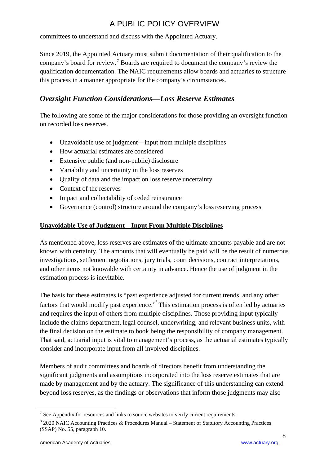committees to understand and discuss with the Appointed Actuary.

Since 2019, the Appointed Actuary must submit documentation of their qualification to the company's board for review.[7](#page-8-2) Boards are required to document the company's review the qualification documentation. The NAIC requirements allow boards and actuaries to structure this process in a manner appropriate for the company's circumstances.

## <span id="page-8-0"></span>*Oversight Function Considerations—Loss Reserve Estimates*

The following are some of the major considerations for those providing an oversight function on recorded loss reserves.

- Unavoidable use of judgment—input from multiple disciplines
- How actuarial estimates are considered
- Extensive public (and non-public) disclosure
- Variability and uncertainty in the loss reserves
- Ouality of data and the impact on loss reserve uncertainty
- Context of the reserves
- Impact and collectability of ceded reinsurance
- Governance (control) structure around the company's loss reserving process

#### <span id="page-8-1"></span>**Unavoidable Use of Judgment—Input From Multiple Disciplines**

As mentioned above, loss reserves are estimates of the ultimate amounts payable and are not known with certainty. The amounts that will eventually be paid will be the result of numerous investigations, settlement negotiations, jury trials, court decisions, contract interpretations, and other items not knowable with certainty in advance. Hence the use of judgment in the estimation process is inevitable.

The basis for these estimates is "past experience adjusted for current trends, and any other factors that would modify past experience."<sup>[8](#page-8-3)</sup> This estimation process is often led by actuaries and requires the input of others from multiple disciplines. Those providing input typically include the claims department, legal counsel, underwriting, and relevant business units, with the final decision on the estimate to book being the responsibility of company management. That said, actuarial input is vital to management's process, as the actuarial estimates typically consider and incorporate input from all involved disciplines.

Members of audit committees and boards of directors benefit from understanding the significant judgments and assumptions incorporated into the loss reserve estimates that are made by management and by the actuary. The significance of this understanding can extend beyond loss reserves, as the findings or observations that inform those judgments may also

<span id="page-8-2"></span> $<sup>7</sup>$  See Appendix for resources and links to source websites to verify current requirements.</sup>

<span id="page-8-3"></span><sup>8</sup> 2020 NAIC Accounting Practices & Procedures Manual – Statement of Statutory Accounting Practices (SSAP) No. 55, paragraph 10.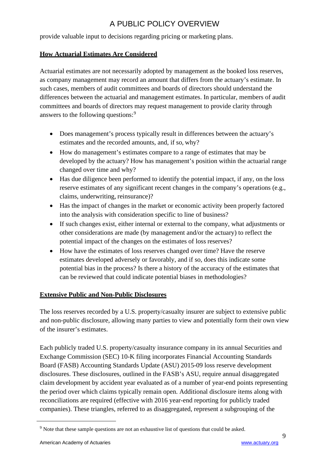provide valuable input to decisions regarding pricing or marketing plans.

#### <span id="page-9-0"></span>**How Actuarial Estimates Are Considered**

Actuarial estimates are not necessarily adopted by management as the booked loss reserves, as company management may record an amount that differs from the actuary's estimate. In such cases, members of audit committees and boards of directors should understand the differences between the actuarial and management estimates. In particular, members of audit committees and boards of directors may request management to provide clarity through answers to the following questions:<sup>[9](#page-9-2)</sup>

- Does management's process typically result in differences between the actuary's estimates and the recorded amounts, and, if so, why?
- How do management's estimates compare to a range of estimates that may be developed by the actuary? How has management's position within the actuarial range changed over time and why?
- Has due diligence been performed to identify the potential impact, if any, on the loss reserve estimates of any significant recent changes in the company's operations (e.g., claims, underwriting, reinsurance)?
- Has the impact of changes in the market or economic activity been properly factored into the analysis with consideration specific to line of business?
- If such changes exist, either internal or external to the company, what adjustments or other considerations are made (by management and/or the actuary) to reflect the potential impact of the changes on the estimates of loss reserves?
- How have the estimates of loss reserves changed over time? Have the reserve estimates developed adversely or favorably, and if so, does this indicate some potential bias in the process? Is there a history of the accuracy of the estimates that can be reviewed that could indicate potential biases in methodologies?

#### <span id="page-9-1"></span>**Extensive Public and Non-Public Disclosures**

The loss reserves recorded by a U.S. property/casualty insurer are subject to extensive public and non-public disclosure, allowing many parties to view and potentially form their own view of the insurer's estimates.

Each publicly traded U.S. property/casualty insurance company in its annual Securities and Exchange Commission (SEC) 10-K filing incorporates Financial Accounting Standards Board (FASB) Accounting Standards Update (ASU) 2015-09 loss reserve development disclosures. These disclosures, outlined in the FASB's ASU, require annual disaggregated claim development by accident year evaluated as of a number of year-end points representing the period over which claims typically remain open. Additional disclosure items along with reconciliations are required (effective with 2016 year-end reporting for publicly traded companies). These triangles, referred to as disaggregated, represent a subgrouping of the

<span id="page-9-2"></span><sup>&</sup>lt;sup>9</sup> Note that these sample questions are not an exhaustive list of questions that could be asked.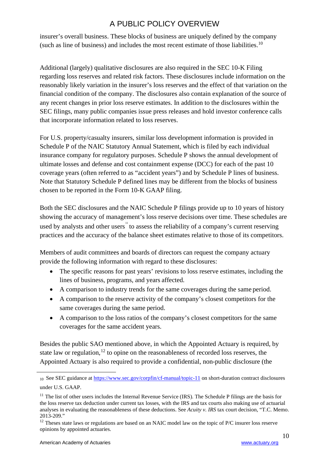insurer's overall business. These blocks of business are uniquely defined by the company (such as line of business) and includes the most recent estimate of those liabilities.<sup>[10](#page-10-0)</sup>

Additional (largely) qualitative disclosures are also required in the SEC 10-K Filing regarding loss reserves and related risk factors. These disclosures include information on the reasonably likely variation in the insurer's loss reserves and the effect of that variation on the financial condition of the company. The disclosures also contain explanation of the source of any recent changes in prior loss reserve estimates. In addition to the disclosures within the SEC filings, many public companies issue press releases and hold investor conference calls that incorporate information related to loss reserves.

For U.S. property/casualty insurers, similar loss development information is provided in Schedule P of the NAIC Statutory Annual Statement, which is filed by each individual insurance company for regulatory purposes. Schedule P shows the annual development of ultimate losses and defense and cost containment expense (DCC) for each of the past 10 coverage years (often referred to as "accident years") and by Schedule P lines of business. Note that Statutory Schedule P defined lines may be different from the blocks of business chosen to be reported in the Form 10-K GAAP filing.

Both the SEC disclosures and the NAIC Schedule P filings provide up to 10 years of history showing the accuracy of management's loss reserve decisions over time. These schedules are used by analysts and other users  $\mathbf{r}$  to assess the reliability of a company's current reserving practices and the accuracy of the balance sheet estimates relative to those of its competitors.

Members of audit committees and boards of directors can request the company actuary provide the following information with regard to these disclosures:

- The specific reasons for past years' revisions to loss reserve estimates, including the lines of business, programs, and years affected.
- A comparison to industry trends for the same coverages during the same period.
- A comparison to the reserve activity of the company's closest competitors for the same coverages during the same period.
- A comparison to the loss ratios of the company's closest competitors for the same coverages for the same accident years.

Besides the public SAO mentioned above, in which the Appointed Actuary is required, by state law or regulation,  $12$  to opine on the reasonableness of recorded loss reserves, the Appointed Actuary is also required to provide a confidential, non-public disclosure (the

<span id="page-10-0"></span><sup>10</sup> See SEC guidance a[t https://www.sec.gov/corpfin/cf-manual/topic-11](https://www.sec.gov/corpfin/cf-manual/topic-11) on short-duration contract disclosures under U.S. GAAP.

<span id="page-10-1"></span><sup>&</sup>lt;sup>11</sup> The list of other users includes the Internal Revenue Service (IRS). The Schedule P filings are the basis for the loss reserve tax deduction under current tax losses, with the IRS and tax courts also making use of actuarial analyses in evaluating the reasonableness of these deductions. See *Acuity v. IRS* tax court decision, "T.C. Memo. 2013-209."

<span id="page-10-2"></span><sup>&</sup>lt;sup>12</sup> Theses state laws or regulations are based on an NAIC model law on the topic of P/C insurer loss reserve opinions by appointed actuaries.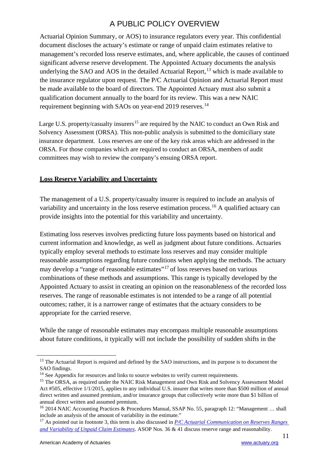Actuarial Opinion Summary, or AOS) to insurance regulators every year. This confidential document discloses the actuary's estimate or range of unpaid claim estimates relative to management's recorded loss reserve estimates, and, where applicable, the causes of continued significant adverse reserve development. The Appointed Actuary documents the analysis underlying the SAO and AOS in the detailed Actuarial Report,<sup>[13](#page-11-1)</sup> which is made available to the insurance regulator upon request. The P/C Actuarial Opinion and Actuarial Report must be made available to the board of directors. The Appointed Actuary must also submit a qualification document annually to the board for its review. This was a new NAIC requirement beginning with SAOs on year-end 2019 reserves.<sup>[14](#page-11-2)</sup>

Large U.S. property/casualty insurers<sup>[15](#page-11-3)</sup> are required by the NAIC to conduct an Own Risk and Solvency Assessment (ORSA). This non-public analysis is submitted to the domiciliary state insurance department. Loss reserves are one of the key risk areas which are addressed in the ORSA. For those companies which are required to conduct an ORSA, members of audit committees may wish to review the company's ensuing ORSA report.

#### <span id="page-11-0"></span>**Loss Reserve Variability and Uncertainty**

The management of a U.S. property/casualty insurer is required to include an analysis of variability and uncertainty in the loss reserve estimation process.<sup>[16](#page-11-4)</sup> A qualified actuary can provide insights into the potential for this variability and uncertainty.

Estimating loss reserves involves predicting future loss payments based on historical and current information and knowledge, as well as judgment about future conditions. Actuaries typically employ several methods to estimate loss reserves and may consider multiple reasonable assumptions regarding future conditions when applying the methods. The actuary may develop a "range of reasonable estimates"[17](#page-11-5) of loss reserves based on various combinations of these methods and assumptions. This range is typically developed by the Appointed Actuary to assist in creating an opinion on the reasonableness of the recorded loss reserves. The range of reasonable estimates is not intended to be a range of all potential outcomes; rather, it is a narrower range of estimates that the actuary considers to be appropriate for the carried reserve.

While the range of reasonable estimates may encompass multiple reasonable assumptions about future conditions, it typically will not include the possibility of sudden shifts in the

<span id="page-11-1"></span><sup>&</sup>lt;sup>13</sup> The Actuarial Report is required and defined by the SAO instructions, and its purpose is to document the SAO findings.

<span id="page-11-2"></span><sup>&</sup>lt;sup>14</sup> See Appendix for resources and links to source websites to verify current requirements.

<span id="page-11-3"></span><sup>&</sup>lt;sup>15</sup> The ORSA, as required under the NAIC Risk Management and Own Risk and Solvency Assessment Model Act #505, effective 1/1/2015, applies to any individual U.S. insurer that writes more than \$500 million of annual direct written and assumed premium, and/or insurance groups that collectively write more than \$1 billion of annual direct written and assumed premium.

<span id="page-11-4"></span><sup>&</sup>lt;sup>16</sup> 2014 NAIC Accounting Practices & Procedures Manual, SSAP No. 55, paragraph 12: "Management ... shall include an analysis of the amount of variability in the estimate."

<span id="page-11-5"></span><sup>17</sup> As pointed out in footnote 3, this term is also discussed in *[P/C Actuarial Communication on Reserves Ranges](http://www.actuary.org/files/range_sept08.4.pdf/range_sept08.4.pdf)  [and Variability of Unpaid Claim Estimates](http://www.actuary.org/files/range_sept08.4.pdf/range_sept08.4.pdf)*. ASOP Nos. 36 & 41 discuss reserve range and reasonability.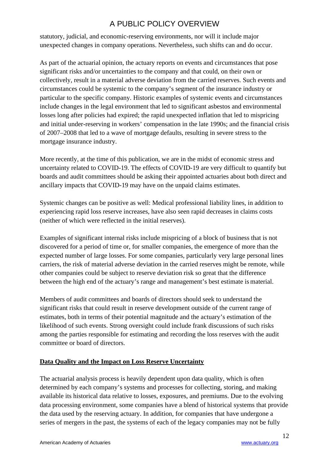statutory, judicial, and economic-reserving environments, nor will it include major unexpected changes in company operations. Nevertheless, such shifts can and do occur.

As part of the actuarial opinion, the actuary reports on events and circumstances that pose significant risks and/or uncertainties to the company and that could, on their own or collectively, result in a material adverse deviation from the carried reserves. Such events and circumstances could be systemic to the company's segment of the insurance industry or particular to the specific company. Historic examples of systemic events and circumstances include changes in the legal environment that led to significant asbestos and environmental losses long after policies had expired; the rapid unexpected inflation that led to mispricing and initial under-reserving in workers' compensation in the late 1990s; and the financial crisis of 2007–2008 that led to a wave of mortgage defaults, resulting in severe stress to the mortgage insurance industry.

More recently, at the time of this publication, we are in the midst of economic stress and uncertainty related to COVID-19. The effects of COVID-19 are very difficult to quantify but boards and audit committees should be asking their appointed actuaries about both direct and ancillary impacts that COVID-19 may have on the unpaid claims estimates.

Systemic changes can be positive as well: Medical professional liability lines, in addition to experiencing rapid loss reserve increases, have also seen rapid decreases in claims costs (neither of which were reflected in the initial reserves).

Examples of significant internal risks include mispricing of a block of business that is not discovered for a period of time or, for smaller companies, the emergence of more than the expected number of large losses. For some companies, particularly very large personal lines carriers, the risk of material adverse deviation in the carried reserves might be remote, while other companies could be subject to reserve deviation risk so great that the difference between the high end of the actuary's range and management's best estimate is material.

Members of audit committees and boards of directors should seek to understand the significant risks that could result in reserve development outside of the current range of estimates, both in terms of their potential magnitude and the actuary's estimation of the likelihood of such events. Strong oversight could include frank discussions of such risks among the parties responsible for estimating and recording the loss reserves with the audit committee or board of directors.

#### <span id="page-12-0"></span>**Data Quality and the Impact on Loss Reserve Uncertainty**

The actuarial analysis process is heavily dependent upon data quality, which is often determined by each company's systems and processes for collecting, storing, and making available its historical data relative to losses, exposures, and premiums. Due to the evolving data processing environment, some companies have a blend of historical systems that provide the data used by the reserving actuary. In addition, for companies that have undergone a series of mergers in the past, the systems of each of the legacy companies may not be fully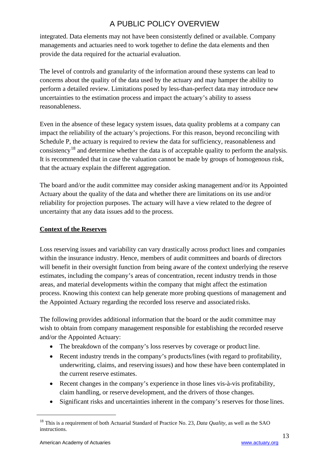integrated. Data elements may not have been consistently defined or available. Company managements and actuaries need to work together to define the data elements and then provide the data required for the actuarial evaluation.

The level of controls and granularity of the information around these systems can lead to concerns about the quality of the data used by the actuary and may hamper the ability to perform a detailed review. Limitations posed by less-than-perfect data may introduce new uncertainties to the estimation process and impact the actuary's ability to assess reasonableness.

Even in the absence of these legacy system issues, data quality problems at a company can impact the reliability of the actuary's projections. For this reason, beyond reconciling with Schedule P, the actuary is required to review the data for sufficiency, reasonableness and consistency[18](#page-13-1) and determine whether the data is of acceptable quality to perform the analysis. It is recommended that in case the valuation cannot be made by groups of homogenous risk, that the actuary explain the different aggregation.

The board and/or the audit committee may consider asking management and/or its Appointed Actuary about the quality of the data and whether there are limitations on its use and/or reliability for projection purposes. The actuary will have a view related to the degree of uncertainty that any data issues add to the process.

#### <span id="page-13-0"></span>**Context of the Reserves**

Loss reserving issues and variability can vary drastically across product lines and companies within the insurance industry. Hence, members of audit committees and boards of directors will benefit in their oversight function from being aware of the context underlying the reserve estimates, including the company's areas of concentration, recent industry trends in those areas, and material developments within the company that might affect the estimation process. Knowing this context can help generate more probing questions of management and the Appointed Actuary regarding the recorded loss reserve and associated risks.

The following provides additional information that the board or the audit committee may wish to obtain from company management responsible for establishing the recorded reserve and/or the Appointed Actuary:

- The breakdown of the company's loss reserves by coverage or product line.
- Recent industry trends in the company's products/lines (with regard to profitability, underwriting, claims, and reserving issues) and how these have been contemplated in the current reserve estimates.
- Recent changes in the company's experience in those lines vis-à-vis profitability, claim handling, or reserve development, and the drivers of those changes.
- Significant risks and uncertainties inherent in the company's reserves for those lines.

<span id="page-13-1"></span><sup>18</sup> This is a requirement of both Actuarial Standard of Practice No. 23, *Data Quality*, as well as the SAO instructions.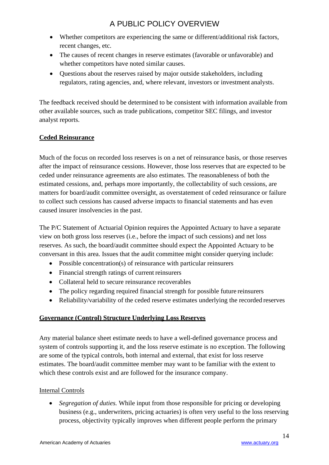- Whether competitors are experiencing the same or different/additional risk factors, recent changes, etc.
- The causes of recent changes in reserve estimates (favorable or unfavorable) and whether competitors have noted similar causes.
- Questions about the reserves raised by major outside stakeholders, including regulators, rating agencies, and, where relevant, investors or investment analysts.

The feedback received should be determined to be consistent with information available from other available sources, such as trade publications, competitor SEC filings, and investor analyst reports.

#### <span id="page-14-0"></span>**Ceded Reinsurance**

Much of the focus on recorded loss reserves is on a net of reinsurance basis, or those reserves after the impact of reinsurance cessions. However, those loss reserves that are expected to be ceded under reinsurance agreements are also estimates. The reasonableness of both the estimated cessions, and, perhaps more importantly, the collectability of such cessions, are matters for board/audit committee oversight, as overstatement of ceded reinsurance or failure to collect such cessions has caused adverse impacts to financial statements and has even caused insurer insolvencies in the past.

The P/C Statement of Actuarial Opinion requires the Appointed Actuary to have a separate view on both gross loss reserves (i.e., before the impact of such cessions) and net loss reserves. As such, the board/audit committee should expect the Appointed Actuary to be conversant in this area. Issues that the audit committee might consider querying include:

- Possible concentration(s) of reinsurance with particular reinsurers
- Financial strength ratings of current reinsurers
- Collateral held to secure reinsurance recoverables
- The policy regarding required financial strength for possible future reinsurers
- Reliability/variability of the ceded reserve estimates underlying the recorded reserves

#### <span id="page-14-1"></span>**Governance (Control) Structure Underlying Loss Reserves**

Any material balance sheet estimate needs to have a well-defined governance process and system of controls supporting it, and the loss reserve estimate is no exception. The following are some of the typical controls, both internal and external, that exist for loss reserve estimates. The board/audit committee member may want to be familiar with the extent to which these controls exist and are followed for the insurance company.

#### Internal Controls

• *Segregation of duties.* While input from those responsible for pricing or developing business (e.g., underwriters, pricing actuaries) is often very useful to the loss reserving process, objectivity typically improves when different people perform the primary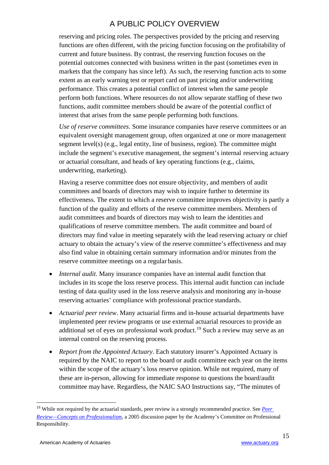reserving and pricing roles. The perspectives provided by the pricing and reserving functions are often different, with the pricing function focusing on the profitability of current and future business. By contrast, the reserving function focuses on the potential outcomes connected with business written in the past (sometimes even in markets that the company has since left). As such, the reserving function acts to some extent as an early warning test or report card on past pricing and/or underwriting performance. This creates a potential conflict of interest when the same people perform both functions. Where resources do not allow separate staffing of these two functions, audit committee members should be aware of the potential conflict of interest that arises from the same people performing both functions.

*Use of reserve committees*. Some insurance companies have reserve committees or an equivalent oversight management group, often organized at one or more management segment level(s) (e.g., legal entity, line of business, region). The committee might include the segment's executive management, the segment's internal reserving actuary or actuarial consultant, and heads of key operating functions (e.g., claims, underwriting, marketing).

Having a reserve committee does not ensure objectivity, and members of audit committees and boards of directors may wish to inquire further to determine its effectiveness. The extent to which a reserve committee improves objectivity is partly a function of the quality and efforts of the reserve committee members. Members of audit committees and boards of directors may wish to learn the identities and qualifications of reserve committee members. The audit committee and board of directors may find value in meeting separately with the lead reserving actuary or chief actuary to obtain the actuary's view of the reserve committee's effectiveness and may also find value in obtaining certain summary information and/or minutes from the reserve committee meetings on a regular basis.

- *Internal audit*. Many insurance companies have an internal audit function that includes in its scope the loss reserve process. This internal audit function can include testing of data quality used in the loss reserve analysis and monitoring any in-house reserving actuaries' compliance with professional practice standards.
- *Actuarial peer review*. Many actuarial firms and in-house actuarial departments have implemented peer review programs or use external actuarial resources to provide an additional set of eyes on professional work product.<sup>[19](#page-15-0)</sup> Such a review may serve as an internal control on the reserving process.
- *Report from the Appointed Actuary*. Each statutory insurer's Appointed Actuary is required by the NAIC to report to the board or audit committee each year on the items within the scope of the actuary's loss reserve opinion. While not required, many of these are in-person, allowing for immediate response to questions the board/audit committee may have. Regardless, the NAIC SAO Instructions say, "The minutes of

<span id="page-15-0"></span><sup>&</sup>lt;sup>19</sup> While not required by the actuarial standards, peer review is a strongly recommended practice. See *Peer [Review—Concepts on Professionalism](https://www.actuary.org/sites/default/files/files/peer_sept05.8.pdf/peer_sept05.8.pdf)*, a 2005 discussion paper by the Academy's Committee on Professional Responsibility.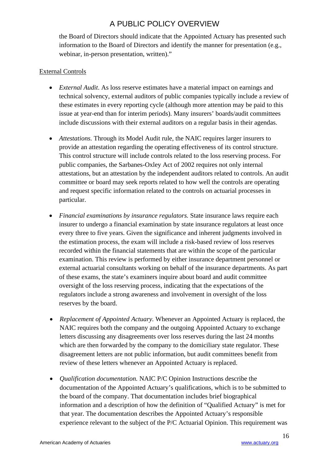the Board of Directors should indicate that the Appointed Actuary has presented such information to the Board of Directors and identify the manner for presentation (e.g., webinar, in-person presentation, written)."

#### External Controls

- *External Audit*. As loss reserve estimates have a material impact on earnings and technical solvency, external auditors of public companies typically include a review of these estimates in every reporting cycle (although more attention may be paid to this issue at year-end than for interim periods). Many insurers' boards/audit committees include discussions with their external auditors on a regular basis in their agendas.
- *Attestations.* Through its Model Audit rule, the NAIC requires larger insurers to provide an attestation regarding the operating effectiveness of its control structure. This control structure will include controls related to the loss reserving process. For public companies, the Sarbanes-Oxley Act of 2002 requires not only internal attestations, but an attestation by the independent auditors related to controls. An audit committee or board may seek reports related to how well the controls are operating and request specific information related to the controls on actuarial processes in particular.
- *Financial examinations by insurance regulators.* State insurance laws require each insurer to undergo a financial examination by state insurance regulators at least once every three to five years. Given the significance and inherent judgments involved in the estimation process, the exam will include a risk-based review of loss reserves recorded within the financial statements that are within the scope of the particular examination. This review is performed by either insurance department personnel or external actuarial consultants working on behalf of the insurance departments. As part of these exams, the state's examiners inquire about board and audit committee oversight of the loss reserving process, indicating that the expectations of the regulators include a strong awareness and involvement in oversight of the loss reserves by the board.
- *Replacement of Appointed Actuary.* Whenever an Appointed Actuary is replaced, the NAIC requires both the company and the outgoing Appointed Actuary to exchange letters discussing any disagreements over loss reserves during the last 24 months which are then forwarded by the company to the domiciliary state regulator. These disagreement letters are not public information, but audit committees benefit from review of these letters whenever an Appointed Actuary is replaced.
- *Qualification documentation.* NAIC P/C Opinion Instructions describe the documentation of the Appointed Actuary's qualifications, which is to be submitted to the board of the company. That documentation includes brief biographical information and a description of how the definition of "Qualified Actuary" is met for that year. The documentation describes the Appointed Actuary's responsible experience relevant to the subject of the P/C Actuarial Opinion. This requirement was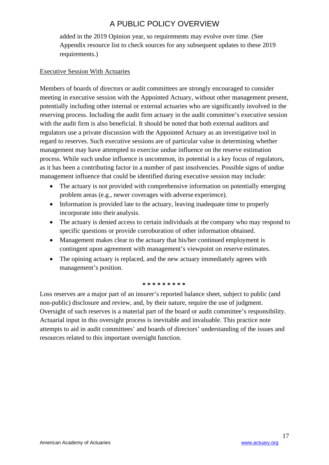added in the 2019 Opinion year, so requirements may evolve over time. (See Appendix resource list to check sources for any subsequent updates to these 2019 requirements.)

#### Executive Session With Actuaries

Members of boards of directors or audit committees are strongly encouraged to consider meeting in executive session with the Appointed Actuary, without other management present, potentially including other internal or external actuaries who are significantly involved in the reserving process. Including the audit firm actuary in the audit committee's executive session with the audit firm is also beneficial. It should be noted that both external auditors and regulators use a private discussion with the Appointed Actuary as an investigative tool in regard to reserves. Such executive sessions are of particular value in determining whether management may have attempted to exercise undue influence on the reserve estimation process. While such undue influence is uncommon, its potential is a key focus of regulators, as it has been a contributing factor in a number of past insolvencies. Possible signs of undue management influence that could be identified during executive session may include:

- The actuary is not provided with comprehensive information on potentially emerging problem areas (e.g., newer coverages with adverse experience).
- Information is provided late to the actuary, leaving inadequate time to properly incorporate into their analysis.
- The actuary is denied access to certain individuals at the company who may respond to specific questions or provide corroboration of other information obtained.
- Management makes clear to the actuary that his/her continued employment is contingent upon agreement with management's viewpoint on reserve estimates.
- The opining actuary is replaced, and the new actuary immediately agrees with management's position.

#### **\* \* \* \* \* \* \* \* \***

Loss reserves are a major part of an insurer's reported balance sheet, subject to public (and non-public) disclosure and review, and, by their nature, require the use of judgment. Oversight of such reserves is a material part of the board or audit committee's responsibility. Actuarial input in this oversight process is inevitable and invaluable. This practice note attempts to aid in audit committees' and boards of directors' understanding of the issues and resources related to this important oversight function.